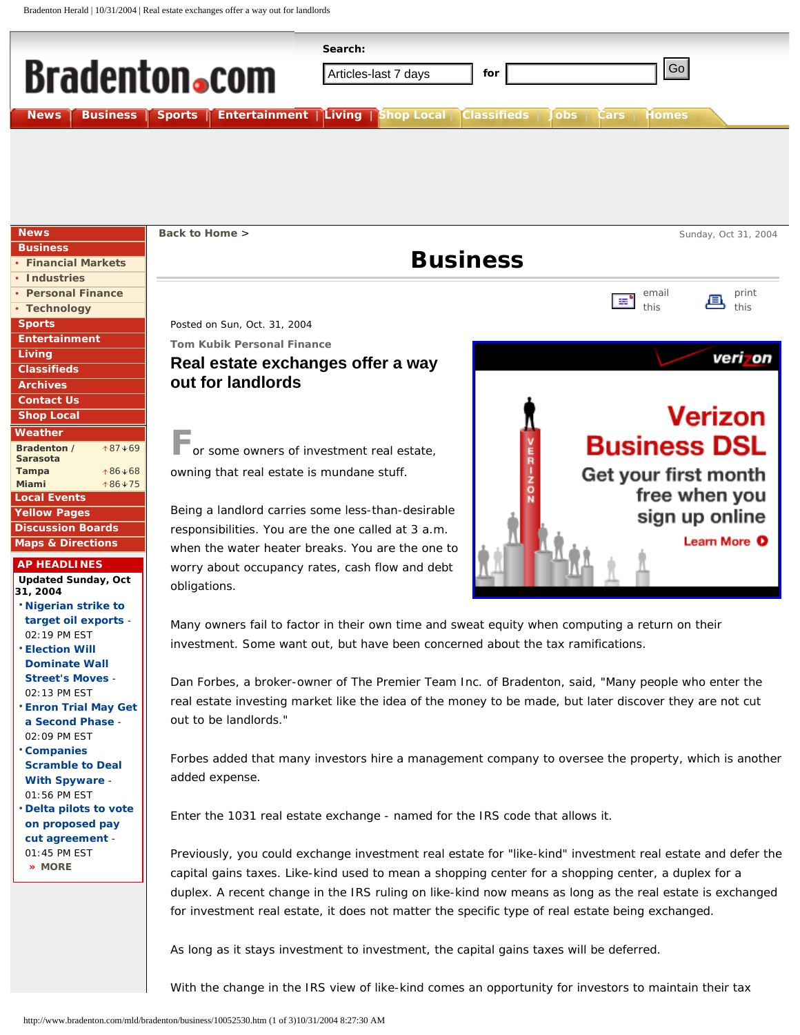

Many owners fail to factor in their own time and sweat equity when computing a return on their investment. Some want out, but have been concerned about the tax ramifications.

Dan Forbes, a broker-owner of The Premier Team Inc. of Bradenton, said, "Many people who enter the real estate investing market like the idea of the money to be made, but later discover they are not cut out to be landlords."

Forbes added that many investors hire a management company to oversee the property, which is another added expense.

Enter the 1031 real estate exchange - named for the IRS code that allows it.

Previously, you could exchange investment real estate for "like-kind" investment real estate and defer the capital gains taxes. Like-kind used to mean a shopping center for a shopping center, a duplex for a duplex. A recent change in the IRS ruling on like-kind now means as long as the real estate is exchanged for investment real estate, it does not matter the specific type of real estate being exchanged.

As long as it stays investment to investment, the capital gains taxes will be deferred.

With the change in the IRS view of like-kind comes an opportunity for investors to maintain their tax

02:19 PM EST • **[Election Will](http://www.bradenton.com/mld/bradenton/business/10064666.htm) [Dominate Wall](http://www.bradenton.com/mld/bradenton/business/10064666.htm) [Street's Moves](http://www.bradenton.com/mld/bradenton/business/10064666.htm)** - 02:13 PM EST • **[Enron Trial May Get](http://www.bradenton.com/mld/bradenton/business/10064650.htm) [a Second Phase](http://www.bradenton.com/mld/bradenton/business/10064650.htm)** - 02:09 PM EST • **[Companies](http://www.bradenton.com/mld/bradenton/business/10064638.htm)  [Scramble to Deal](http://www.bradenton.com/mld/bradenton/business/10064638.htm) [With Spyware](http://www.bradenton.com/mld/bradenton/business/10064638.htm)** - 01:56 PM EST • **[Delta pilots to vote](http://www.bradenton.com/mld/bradenton/business/10064548.htm) [on proposed pay](http://www.bradenton.com/mld/bradenton/business/10064548.htm)  [cut agreement](http://www.bradenton.com/mld/bradenton/business/10064548.htm)** - 01:45 PM EST **[» MORE](http://www.bradenton.com/mld/bradenton/business/more_news.htm?pub_id=570&category_id=570121&days_range=3&start_row=2)**